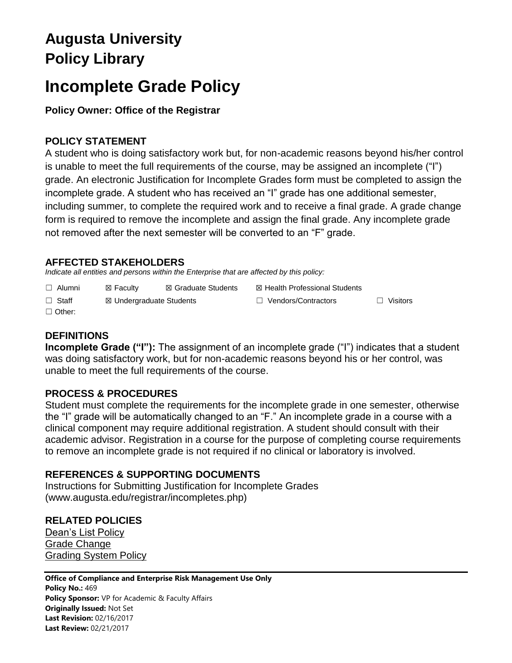## **Augusta University Policy Library**

# **Incomplete Grade Policy**

### **Policy Owner: Office of the Registrar**

#### **POLICY STATEMENT**

A student who is doing satisfactory work but, for non-academic reasons beyond his/her control is unable to meet the full requirements of the course, may be assigned an incomplete ("I") grade. An electronic Justification for Incomplete Grades form must be completed to assign the incomplete grade. A student who has received an "I" grade has one additional semester, including summer, to complete the required work and to receive a final grade. A grade change form is required to remove the incomplete and assign the final grade. Any incomplete grade not removed after the next semester will be converted to an "F" grade.

#### **AFFECTED STAKEHOLDERS**

*Indicate all entities and persons within the Enterprise that are affected by this policy:* 

- ☐ Alumni ☒ Faculty ☒ Graduate Students ☒ Health Professional Students
	-

☐ Staff ☒ Undergraduate Students ☐ Vendors/Contractors ☐ Visitors

☐ Other:

#### **DEFINITIONS**

**Incomplete Grade ("I"):** The assignment of an incomplete grade ("I") indicates that a student was doing satisfactory work, but for non-academic reasons beyond his or her control, was unable to meet the full requirements of the course.

#### **PROCESS & PROCEDURES**

Student must complete the requirements for the incomplete grade in one semester, otherwise the "I" grade will be automatically changed to an "F." An incomplete grade in a course with a clinical component may require additional registration. A student should consult with their academic advisor. Registration in a course for the purpose of completing course requirements to remove an incomplete grade is not required if no clinical or laboratory is involved.

#### **REFERENCES & SUPPORTING DOCUMENTS**

Instructions for Submitting Justification for Incomplete Grades (www.augusta.edu/registrar/incompletes.php)

### **RELATED POLICIES**

[Dean's List Policy](Dean’s%20List%20Policy) [Grade Change](https://augusta.policytech.com/docview/?docid=6167) [Grading System Policy](https://augusta.policytech.com/docview/?docid=1361)

#### **Office of Compliance and Enterprise Risk Management Use Only**

**Policy No.:** 469 **Policy Sponsor:** VP for Academic & Faculty Affairs **Originally Issued:** Not Set **Last Revision:** 02/16/2017 **Last Review:** 02/21/2017